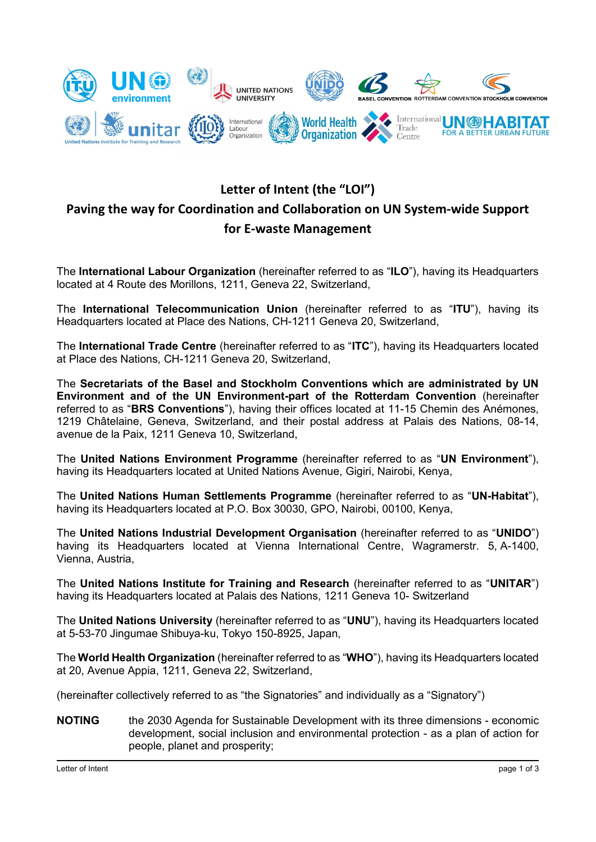

# **Letter of Intent (the "LOI") Paving the way for Coordination and Collaboration on UN System-wide Support for E-waste Management**

The **International Labour Organization** (hereinafter referred to as "**ILO**"), having its Headquarters located at 4 Route des Morillons, 1211, Geneva 22, Switzerland,

The **International Telecommunication Union** (hereinafter referred to as "**ITU**"), having its Headquarters located at Place des Nations, CH-1211 Geneva 20, Switzerland,

The **International Trade Centre** (hereinafter referred to as "**ITC**"), having its Headquarters located at Place des Nations, CH-1211 Geneva 20, Switzerland,

The **Secretariats of the Basel and Stockholm Conventions which are administrated by UN Environment and of the UN Environment-part of the Rotterdam Convention** (hereinafter referred to as "**BRS Conventions**"), having their offices located at 11-15 Chemin des Anémones, 1219 Châtelaine, Geneva, Switzerland, and their postal address at Palais des Nations, 08-14, avenue de la Paix, 1211 Geneva 10, Switzerland,

The **United Nations Environment Programme** (hereinafter referred to as "**UN Environment**"), having its Headquarters located at United Nations Avenue, Gigiri, Nairobi, Kenya,

The **United Nations Human Settlements Programme** (hereinafter referred to as "**UN-Habitat**"), having its Headquarters located at P.O. Box 30030, GPO, Nairobi, 00100, Kenya,

The **United Nations Industrial Development Organisation** (hereinafter referred to as "**UNIDO**") having its Headquarters located at Vienna International Centre, Wagramerstr. 5, A-1400, Vienna, Austria,

The **United Nations Institute for Training and Research** (hereinafter referred to as "**UNITAR**") having its Headquarters located at Palais des Nations, 1211 Geneva 10- Switzerland

The **United Nations University** (hereinafter referred to as "**UNU**"), having its Headquarters located at 5-53-70 Jingumae Shibuya-ku, Tokyo 150-8925, Japan,

The **World Health Organization** (hereinafter referred to as "**WHO**"), having its Headquarters located at 20, Avenue Appia, 1211, Geneva 22, Switzerland,

(hereinafter collectively referred to as "the Signatories" and individually as a "Signatory")

**NOTING** the 2030 Agenda for Sustainable Development with its three dimensions - economic development, social inclusion and environmental protection - as a plan of action for people, planet and prosperity;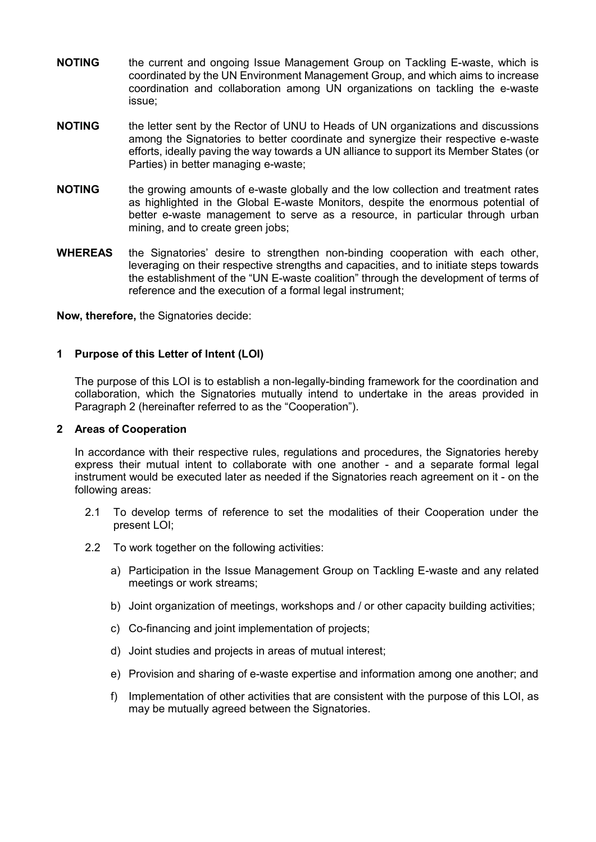- **NOTING** the current and ongoing Issue Management Group on Tackling E-waste, which is coordinated by the UN Environment Management Group, and which aims to increase coordination and collaboration among UN organizations on tackling the e-waste issue;
- **NOTING** the letter sent by the Rector of UNU to Heads of UN organizations and discussions among the Signatories to better coordinate and synergize their respective e-waste efforts, ideally paving the way towards a UN alliance to support its Member States (or Parties) in better managing e-waste;
- **NOTING** the growing amounts of e-waste globally and the low collection and treatment rates as highlighted in the Global E-waste Monitors, despite the enormous potential of better e-waste management to serve as a resource, in particular through urban mining, and to create green jobs;
- **WHEREAS** the Signatories' desire to strengthen non-binding cooperation with each other, leveraging on their respective strengths and capacities, and to initiate steps towards the establishment of the "UN E-waste coalition" through the development of terms of reference and the execution of a formal legal instrument;

**Now, therefore,** the Signatories decide:

### **1 Purpose of this Letter of Intent (LOI)**

The purpose of this LOI is to establish a non-legally-binding framework for the coordination and collaboration, which the Signatories mutually intend to undertake in the areas provided in Paragraph 2 (hereinafter referred to as the "Cooperation").

#### **2 Areas of Cooperation**

In accordance with their respective rules, regulations and procedures, the Signatories hereby express their mutual intent to collaborate with one another - and a separate formal legal instrument would be executed later as needed if the Signatories reach agreement on it - on the following areas:

- 2.1 To develop terms of reference to set the modalities of their Cooperation under the present LOI;
- 2.2 To work together on the following activities:
	- a) Participation in the Issue Management Group on Tackling E-waste and any related meetings or work streams;
	- b) Joint organization of meetings, workshops and / or other capacity building activities;
	- c) Co-financing and joint implementation of projects;
	- d) Joint studies and projects in areas of mutual interest;
	- e) Provision and sharing of e-waste expertise and information among one another; and
	- f) Implementation of other activities that are consistent with the purpose of this LOI, as may be mutually agreed between the Signatories.